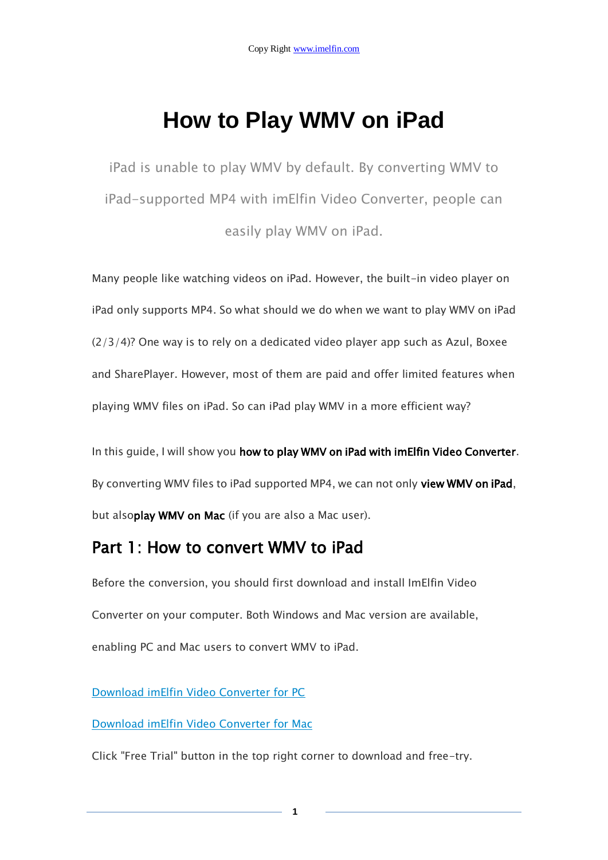# **How to Play WMV on iPad**

iPad is unable to play WMV by default. By converting WMV to iPad-supported MP4 with imElfin Video Converter, people can easily play WMV on iPad.

Many people like watching videos on iPad. However, the built-in video player on iPad only supports MP4. So what should we do when we want to play WMV on iPad (2/3/4)? One way is to rely on a dedicated video player app such as Azul, Boxee and SharePlayer. However, most of them are paid and offer limited features when playing WMV files on iPad. So can iPad play WMV in a more efficient way?

In this guide, I will show you how to play WMV on iPad with imElfin Video Converter. By converting WMV files to iPad supported MP4, we can not only view WMV on iPad, but alsoplay WMV on Mac (if you are also a Mac user).

## Part 1: How to convert WMV to iPad

Before the conversion, you should first download and install ImElfin Video Converter on your computer. Both Windows and Mac version are available, enabling PC and Mac users to convert WMV to iPad.

[Download imElfin Video Converter for PC](http://imelfin.com/video-converter.html)

[Download imElfin Video Converter for Mac](http://imelfin.com/mac-video-converter.html)

Click "Free Trial" button in the top right corner to download and free-try.

**1**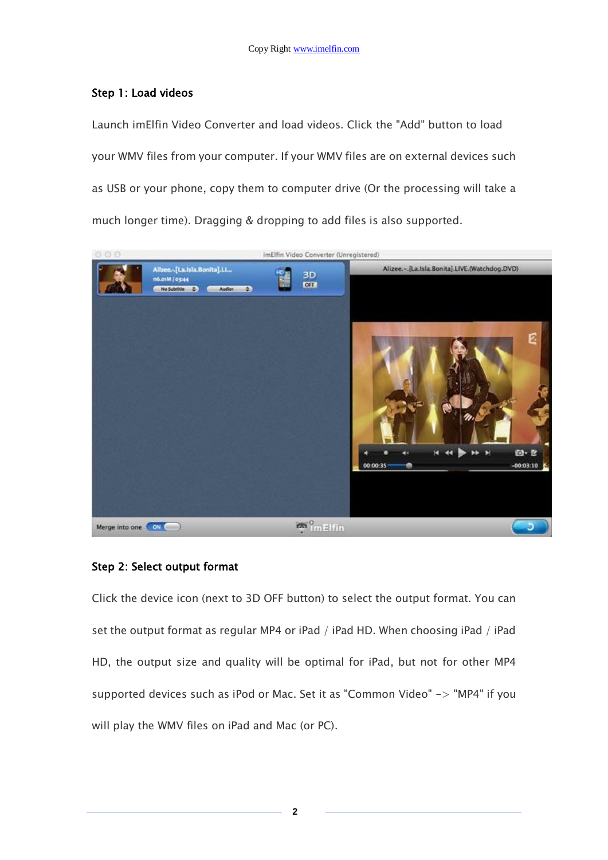#### Step 1: Load videos

Launch imElfin Video Converter and load videos. Click the "Add" button to load your WMV files from your computer. If your WMV files are on external devices such as USB or your phone, copy them to computer drive (Or the processing will take a much longer time). Dragging & dropping to add files is also supported.



#### Step 2: Select output format

Click the device icon (next to 3D OFF button) to select the output format. You can set the output format as regular MP4 or iPad / iPad HD. When choosing iPad / iPad HD, the output size and quality will be optimal for iPad, but not for other MP4 supported devices such as iPod or Mac. Set it as "Common Video" -> "MP4" if you will play the WMV files on iPad and Mac (or PC).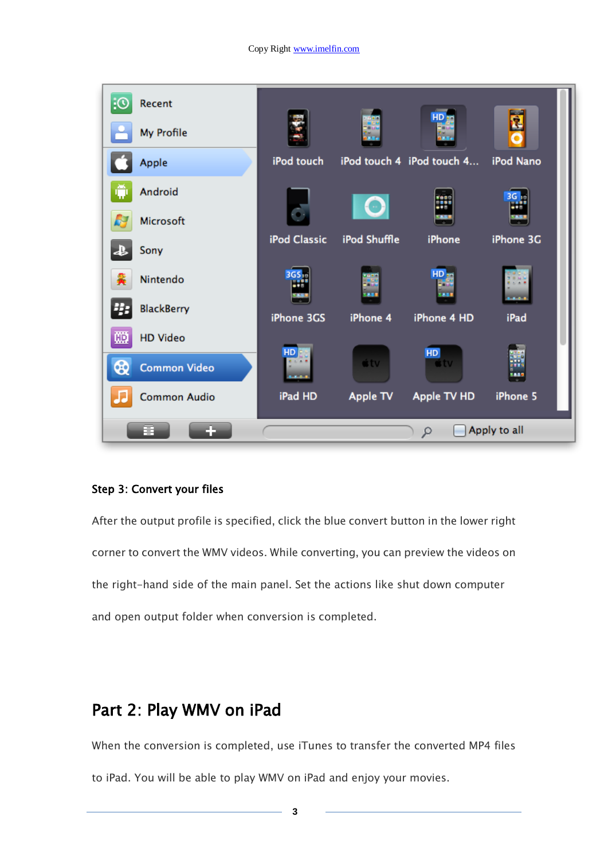

#### Step 3: Convert your files

After the output profile is specified, click the blue convert button in the lower right corner to convert the WMV videos. While converting, you can preview the videos on the right-hand side of the main panel. Set the actions like shut down computer and open output folder when conversion is completed.

### Part 2: Play WMV on iPad

When the conversion is completed, use iTunes to transfer the converted MP4 files to iPad. You will be able to play WMV on iPad and enjoy your movies.